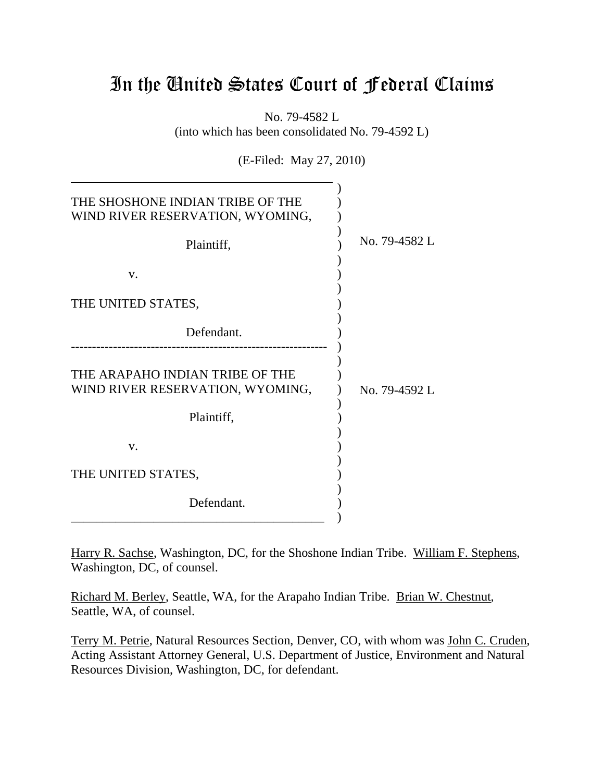# In the United States Court of Federal Claims

No. 79-4582 L (into which has been consolidated No. 79-4592 L)

(E-Filed: May 27, 2010)

| THE SHOSHONE INDIAN TRIBE OF THE<br>WIND RIVER RESERVATION, WYOMING, |               |
|----------------------------------------------------------------------|---------------|
| Plaintiff,                                                           | No. 79-4582 L |
| V.                                                                   |               |
| THE UNITED STATES,                                                   |               |
| Defendant.                                                           |               |
| THE ARAPAHO INDIAN TRIBE OF THE<br>WIND RIVER RESERVATION, WYOMING,  | No. 79-4592 L |
| Plaintiff,                                                           |               |
| V.                                                                   |               |
| THE UNITED STATES,                                                   |               |
| Defendant.                                                           |               |

Harry R. Sachse, Washington, DC, for the Shoshone Indian Tribe. William F. Stephens, Washington, DC, of counsel.

Richard M. Berley, Seattle, WA, for the Arapaho Indian Tribe. Brian W. Chestnut, Seattle, WA, of counsel.

Terry M. Petrie, Natural Resources Section, Denver, CO, with whom was John C. Cruden, Acting Assistant Attorney General, U.S. Department of Justice, Environment and Natural Resources Division, Washington, DC, for defendant.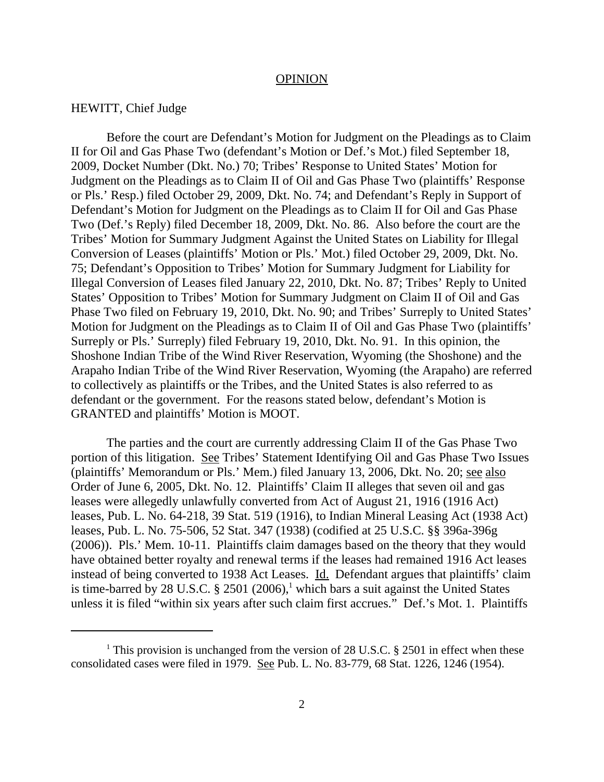#### **OPINION**

### HEWITT, Chief Judge

Before the court are Defendant's Motion for Judgment on the Pleadings as to Claim II for Oil and Gas Phase Two (defendant's Motion or Def.'s Mot.) filed September 18, 2009, Docket Number (Dkt. No.) 70; Tribes' Response to United States' Motion for Judgment on the Pleadings as to Claim II of Oil and Gas Phase Two (plaintiffs' Response or Pls.' Resp.) filed October 29, 2009, Dkt. No. 74; and Defendant's Reply in Support of Defendant's Motion for Judgment on the Pleadings as to Claim II for Oil and Gas Phase Two (Def.'s Reply) filed December 18, 2009, Dkt. No. 86. Also before the court are the Tribes' Motion for Summary Judgment Against the United States on Liability for Illegal Conversion of Leases (plaintiffs' Motion or Pls.' Mot.) filed October 29, 2009, Dkt. No. 75; Defendant's Opposition to Tribes' Motion for Summary Judgment for Liability for Illegal Conversion of Leases filed January 22, 2010, Dkt. No. 87; Tribes' Reply to United States' Opposition to Tribes' Motion for Summary Judgment on Claim II of Oil and Gas Phase Two filed on February 19, 2010, Dkt. No. 90; and Tribes' Surreply to United States' Motion for Judgment on the Pleadings as to Claim II of Oil and Gas Phase Two (plaintiffs' Surreply or Pls.' Surreply) filed February 19, 2010, Dkt. No. 91. In this opinion, the Shoshone Indian Tribe of the Wind River Reservation, Wyoming (the Shoshone) and the Arapaho Indian Tribe of the Wind River Reservation, Wyoming (the Arapaho) are referred to collectively as plaintiffs or the Tribes, and the United States is also referred to as defendant or the government. For the reasons stated below, defendant's Motion is GRANTED and plaintiffs' Motion is MOOT.

The parties and the court are currently addressing Claim II of the Gas Phase Two portion of this litigation. See Tribes' Statement Identifying Oil and Gas Phase Two Issues (plaintiffs' Memorandum or Pls.' Mem.) filed January 13, 2006, Dkt. No. 20; see also Order of June 6, 2005, Dkt. No. 12. Plaintiffs' Claim II alleges that seven oil and gas leases were allegedly unlawfully converted from Act of August 21, 1916 (1916 Act) leases, Pub. L. No. 64-218, 39 Stat. 519 (1916), to Indian Mineral Leasing Act (1938 Act) leases, Pub. L. No. 75-506, 52 Stat. 347 (1938) (codified at 25 U.S.C. §§ 396a-396g (2006)). Pls.' Mem. 10-11. Plaintiffs claim damages based on the theory that they would have obtained better royalty and renewal terms if the leases had remained 1916 Act leases instead of being converted to 1938 Act Leases. Id. Defendant argues that plaintiffs' claim is time-barred by 28 U.S.C.  $\S$  2501 (2006),<sup>1</sup> which bars a suit against the United States unless it is filed "within six years after such claim first accrues." Def.'s Mot. 1. Plaintiffs

<sup>&</sup>lt;sup>1</sup> This provision is unchanged from the version of 28 U.S.C.  $\S$  2501 in effect when these consolidated cases were filed in 1979. See Pub. L. No. 83-779, 68 Stat. 1226, 1246 (1954).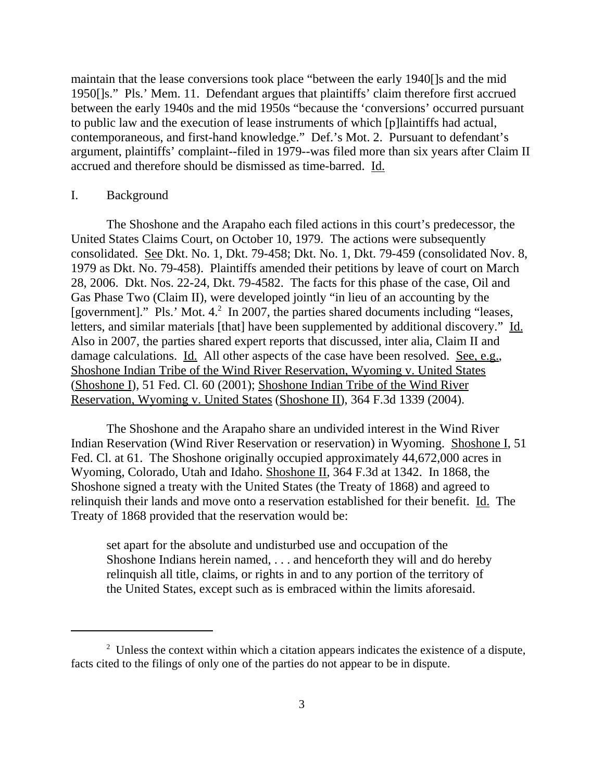maintain that the lease conversions took place "between the early 1940[]s and the mid 1950[]s." Pls.' Mem. 11. Defendant argues that plaintiffs' claim therefore first accrued between the early 1940s and the mid 1950s "because the 'conversions' occurred pursuant to public law and the execution of lease instruments of which [p]laintiffs had actual, contemporaneous, and first-hand knowledge." Def.'s Mot. 2. Pursuant to defendant's argument, plaintiffs' complaint--filed in 1979--was filed more than six years after Claim II accrued and therefore should be dismissed as time-barred. Id.

## I. Background

The Shoshone and the Arapaho each filed actions in this court's predecessor, the United States Claims Court, on October 10, 1979. The actions were subsequently consolidated. See Dkt. No. 1, Dkt. 79-458; Dkt. No. 1, Dkt. 79-459 (consolidated Nov. 8, 1979 as Dkt. No. 79-458). Plaintiffs amended their petitions by leave of court on March 28, 2006. Dkt. Nos. 22-24, Dkt. 79-4582. The facts for this phase of the case, Oil and Gas Phase Two (Claim II), were developed jointly "in lieu of an accounting by the [government]." Pls.' Mot. 4.<sup>2</sup> In 2007, the parties shared documents including "leases, letters, and similar materials [that] have been supplemented by additional discovery." Id. Also in 2007, the parties shared expert reports that discussed, inter alia, Claim II and damage calculations. Id. All other aspects of the case have been resolved. See, e.g., Shoshone Indian Tribe of the Wind River Reservation, Wyoming v. United States (Shoshone I), 51 Fed. Cl. 60 (2001); Shoshone Indian Tribe of the Wind River Reservation, Wyoming v. United States (Shoshone II), 364 F.3d 1339 (2004).

The Shoshone and the Arapaho share an undivided interest in the Wind River Indian Reservation (Wind River Reservation or reservation) in Wyoming. Shoshone I, 51 Fed. Cl. at 61. The Shoshone originally occupied approximately 44,672,000 acres in Wyoming, Colorado, Utah and Idaho. Shoshone II, 364 F.3d at 1342. In 1868, the Shoshone signed a treaty with the United States (the Treaty of 1868) and agreed to relinquish their lands and move onto a reservation established for their benefit. Id. The Treaty of 1868 provided that the reservation would be:

set apart for the absolute and undisturbed use and occupation of the Shoshone Indians herein named, . . . and henceforth they will and do hereby relinquish all title, claims, or rights in and to any portion of the territory of the United States, except such as is embraced within the limits aforesaid.

 $2$  Unless the context within which a citation appears indicates the existence of a dispute, facts cited to the filings of only one of the parties do not appear to be in dispute.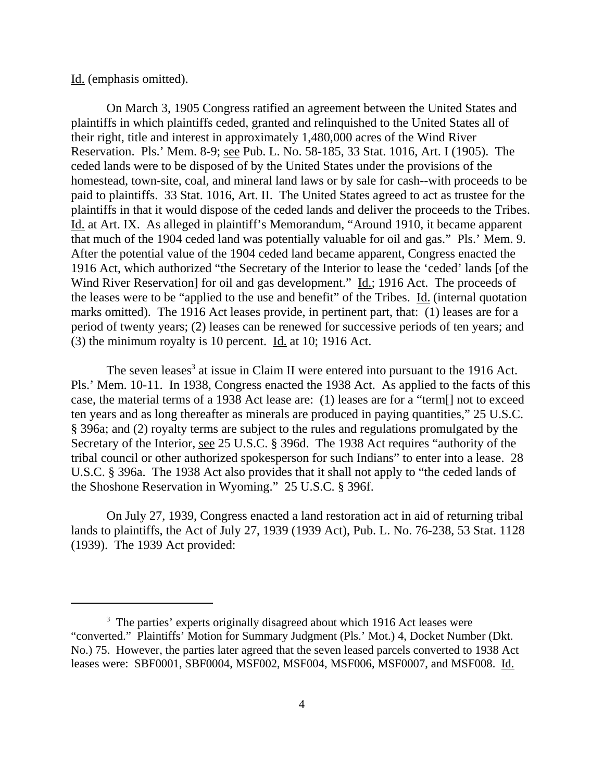## Id. (emphasis omitted).

On March 3, 1905 Congress ratified an agreement between the United States and plaintiffs in which plaintiffs ceded, granted and relinquished to the United States all of their right, title and interest in approximately 1,480,000 acres of the Wind River Reservation. Pls.' Mem. 8-9; see Pub. L. No. 58-185, 33 Stat. 1016, Art. I (1905). The ceded lands were to be disposed of by the United States under the provisions of the homestead, town-site, coal, and mineral land laws or by sale for cash--with proceeds to be paid to plaintiffs. 33 Stat. 1016, Art. II. The United States agreed to act as trustee for the plaintiffs in that it would dispose of the ceded lands and deliver the proceeds to the Tribes. Id. at Art. IX. As alleged in plaintiff's Memorandum, "Around 1910, it became apparent that much of the 1904 ceded land was potentially valuable for oil and gas." Pls.' Mem. 9. After the potential value of the 1904 ceded land became apparent, Congress enacted the 1916 Act, which authorized "the Secretary of the Interior to lease the 'ceded' lands [of the Wind River Reservation] for oil and gas development." Id.; 1916 Act. The proceeds of the leases were to be "applied to the use and benefit" of the Tribes. Id. (internal quotation marks omitted). The 1916 Act leases provide, in pertinent part, that: (1) leases are for a period of twenty years; (2) leases can be renewed for successive periods of ten years; and (3) the minimum royalty is 10 percent. Id. at 10; 1916 Act.

The seven leases<sup>3</sup> at issue in Claim II were entered into pursuant to the 1916 Act. Pls.' Mem. 10-11. In 1938, Congress enacted the 1938 Act. As applied to the facts of this case, the material terms of a 1938 Act lease are: (1) leases are for a "term[] not to exceed ten years and as long thereafter as minerals are produced in paying quantities," 25 U.S.C. § 396a; and (2) royalty terms are subject to the rules and regulations promulgated by the Secretary of the Interior, see 25 U.S.C. § 396d. The 1938 Act requires "authority of the tribal council or other authorized spokesperson for such Indians" to enter into a lease. 28 U.S.C. § 396a. The 1938 Act also provides that it shall not apply to "the ceded lands of the Shoshone Reservation in Wyoming." 25 U.S.C. § 396f.

On July 27, 1939, Congress enacted a land restoration act in aid of returning tribal lands to plaintiffs, the Act of July 27, 1939 (1939 Act), Pub. L. No. 76-238, 53 Stat. 1128 (1939). The 1939 Act provided:

<sup>&</sup>lt;sup>3</sup> The parties' experts originally disagreed about which 1916 Act leases were "converted." Plaintiffs' Motion for Summary Judgment (Pls.' Mot.) 4, Docket Number (Dkt. No.) 75. However, the parties later agreed that the seven leased parcels converted to 1938 Act leases were: SBF0001, SBF0004, MSF002, MSF004, MSF006, MSF0007, and MSF008. Id.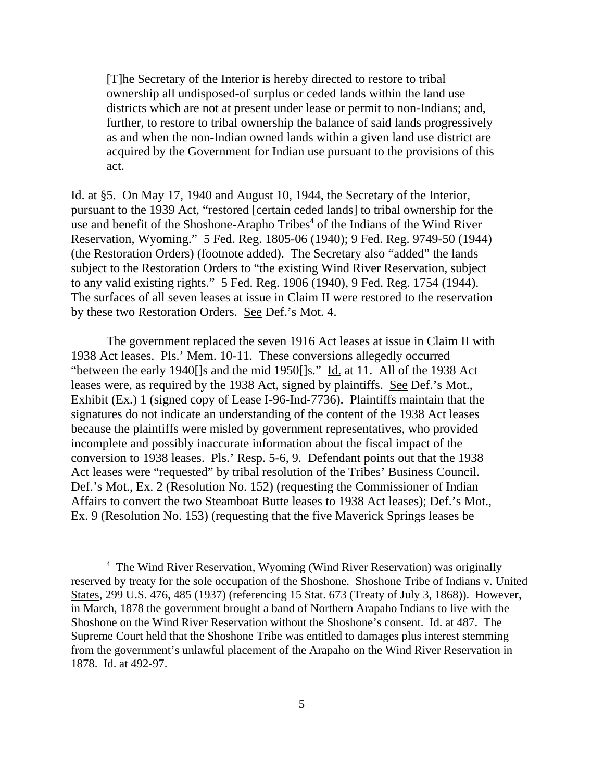[T]he Secretary of the Interior is hereby directed to restore to tribal ownership all undisposed-of surplus or ceded lands within the land use districts which are not at present under lease or permit to non-Indians; and, further, to restore to tribal ownership the balance of said lands progressively as and when the non-Indian owned lands within a given land use district are acquired by the Government for Indian use pursuant to the provisions of this act.

Id. at §5. On May 17, 1940 and August 10, 1944, the Secretary of the Interior, pursuant to the 1939 Act, "restored [certain ceded lands] to tribal ownership for the use and benefit of the Shoshone-Arapho Tribes<sup>4</sup> of the Indians of the Wind River Reservation, Wyoming." 5 Fed. Reg. 1805-06 (1940); 9 Fed. Reg. 9749-50 (1944) (the Restoration Orders) (footnote added). The Secretary also "added" the lands subject to the Restoration Orders to "the existing Wind River Reservation, subject to any valid existing rights." 5 Fed. Reg. 1906 (1940), 9 Fed. Reg. 1754 (1944). The surfaces of all seven leases at issue in Claim II were restored to the reservation by these two Restoration Orders. See Def.'s Mot. 4.

The government replaced the seven 1916 Act leases at issue in Claim II with 1938 Act leases. Pls.' Mem. 10-11. These conversions allegedly occurred "between the early 1940[]s and the mid 1950[]s." Id. at 11. All of the 1938 Act leases were, as required by the 1938 Act, signed by plaintiffs. See Def.'s Mot., Exhibit (Ex.) 1 (signed copy of Lease I-96-Ind-7736). Plaintiffs maintain that the signatures do not indicate an understanding of the content of the 1938 Act leases because the plaintiffs were misled by government representatives, who provided incomplete and possibly inaccurate information about the fiscal impact of the conversion to 1938 leases. Pls.' Resp. 5-6, 9. Defendant points out that the 1938 Act leases were "requested" by tribal resolution of the Tribes' Business Council. Def.'s Mot., Ex. 2 (Resolution No. 152) (requesting the Commissioner of Indian Affairs to convert the two Steamboat Butte leases to 1938 Act leases); Def.'s Mot., Ex. 9 (Resolution No. 153) (requesting that the five Maverick Springs leases be

<sup>&</sup>lt;sup>4</sup> The Wind River Reservation, Wyoming (Wind River Reservation) was originally reserved by treaty for the sole occupation of the Shoshone. Shoshone Tribe of Indians v. United States, 299 U.S. 476, 485 (1937) (referencing 15 Stat. 673 (Treaty of July 3, 1868)). However, in March, 1878 the government brought a band of Northern Arapaho Indians to live with the Shoshone on the Wind River Reservation without the Shoshone's consent. Id. at 487. The Supreme Court held that the Shoshone Tribe was entitled to damages plus interest stemming from the government's unlawful placement of the Arapaho on the Wind River Reservation in 1878. Id. at 492-97.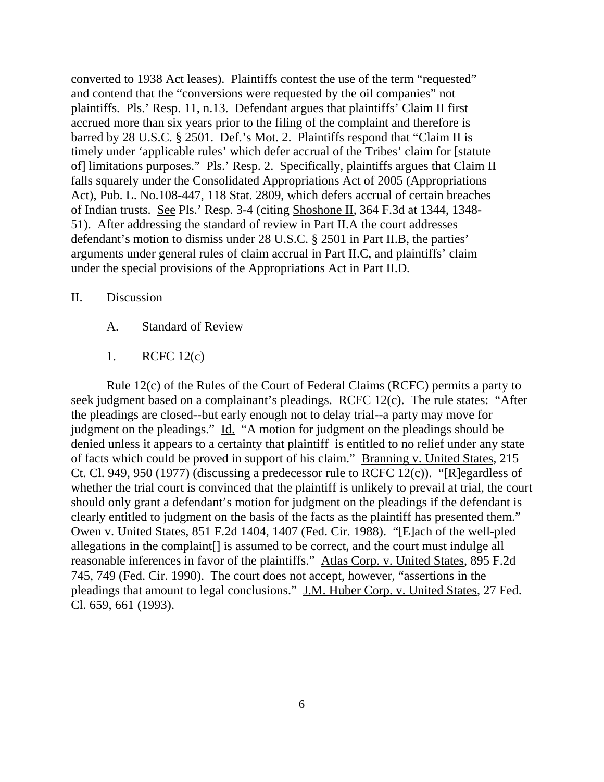converted to 1938 Act leases). Plaintiffs contest the use of the term "requested" and contend that the "conversions were requested by the oil companies" not plaintiffs. Pls.' Resp. 11, n.13. Defendant argues that plaintiffs' Claim II first accrued more than six years prior to the filing of the complaint and therefore is barred by 28 U.S.C. § 2501. Def.'s Mot. 2. Plaintiffs respond that "Claim II is timely under 'applicable rules' which defer accrual of the Tribes' claim for [statute of] limitations purposes." Pls.' Resp. 2. Specifically, plaintiffs argues that Claim II falls squarely under the Consolidated Appropriations Act of 2005 (Appropriations Act), Pub. L. No.108-447, 118 Stat. 2809, which defers accrual of certain breaches of Indian trusts. See Pls.' Resp. 3-4 (citing Shoshone II, 364 F.3d at 1344, 1348- 51). After addressing the standard of review in Part II.A the court addresses defendant's motion to dismiss under 28 U.S.C. § 2501 in Part II.B, the parties' arguments under general rules of claim accrual in Part II.C, and plaintiffs' claim under the special provisions of the Appropriations Act in Part II.D.

# II. Discussion

- A. Standard of Review
- 1. RCFC 12(c)

Rule 12(c) of the Rules of the Court of Federal Claims (RCFC) permits a party to seek judgment based on a complainant's pleadings. RCFC 12(c). The rule states: "After the pleadings are closed--but early enough not to delay trial--a party may move for judgment on the pleadings." Id. "A motion for judgment on the pleadings should be denied unless it appears to a certainty that plaintiff is entitled to no relief under any state of facts which could be proved in support of his claim." Branning v. United States, 215 Ct. Cl. 949, 950 (1977) (discussing a predecessor rule to RCFC 12(c)). "[R]egardless of whether the trial court is convinced that the plaintiff is unlikely to prevail at trial, the court should only grant a defendant's motion for judgment on the pleadings if the defendant is clearly entitled to judgment on the basis of the facts as the plaintiff has presented them." Owen v. United States, 851 F.2d 1404, 1407 (Fed. Cir. 1988). "[E]ach of the well-pled allegations in the complaint[] is assumed to be correct, and the court must indulge all reasonable inferences in favor of the plaintiffs." Atlas Corp. v. United States, 895 F.2d 745, 749 (Fed. Cir. 1990). The court does not accept, however, "assertions in the pleadings that amount to legal conclusions." J.M. Huber Corp. v. United States, 27 Fed. Cl. 659, 661 (1993).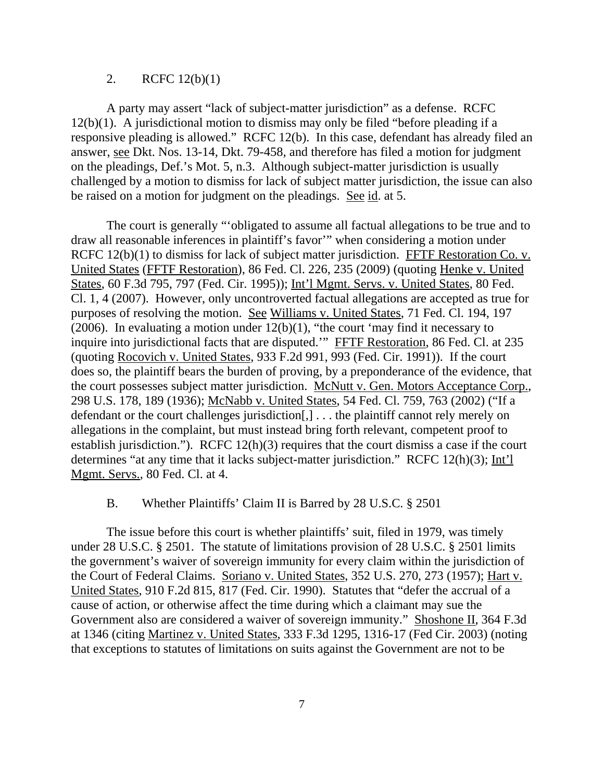# 2. RCFC 12(b)(1)

A party may assert "lack of subject-matter jurisdiction" as a defense. RCFC 12(b)(1). A jurisdictional motion to dismiss may only be filed "before pleading if a responsive pleading is allowed." RCFC 12(b). In this case, defendant has already filed an answer, see Dkt. Nos. 13-14, Dkt. 79-458, and therefore has filed a motion for judgment on the pleadings, Def.'s Mot. 5, n.3. Although subject-matter jurisdiction is usually challenged by a motion to dismiss for lack of subject matter jurisdiction, the issue can also be raised on a motion for judgment on the pleadings. See id. at 5.

The court is generally "'obligated to assume all factual allegations to be true and to draw all reasonable inferences in plaintiff's favor'" when considering a motion under RCFC 12(b)(1) to dismiss for lack of subject matter jurisdiction. FFTF Restoration Co. v. United States (FFTF Restoration), 86 Fed. Cl. 226, 235 (2009) (quoting Henke v. United States, 60 F.3d 795, 797 (Fed. Cir. 1995)); Int'l Mgmt. Servs. v. United States, 80 Fed. Cl. 1, 4 (2007). However, only uncontroverted factual allegations are accepted as true for purposes of resolving the motion. See Williams v. United States, 71 Fed. Cl. 194, 197 (2006). In evaluating a motion under  $12(b)(1)$ , "the court 'may find it necessary to inquire into jurisdictional facts that are disputed.'" FFTF Restoration, 86 Fed. Cl. at 235 (quoting Rocovich v. United States, 933 F.2d 991, 993 (Fed. Cir. 1991)). If the court does so, the plaintiff bears the burden of proving, by a preponderance of the evidence, that the court possesses subject matter jurisdiction. McNutt v. Gen. Motors Acceptance Corp., 298 U.S. 178, 189 (1936); McNabb v. United States, 54 Fed. Cl. 759, 763 (2002) ("If a defendant or the court challenges jurisdiction[,] . . . the plaintiff cannot rely merely on allegations in the complaint, but must instead bring forth relevant, competent proof to establish jurisdiction."). RCFC  $12(h)(3)$  requires that the court dismiss a case if the court determines "at any time that it lacks subject-matter jurisdiction." RCFC 12(h)(3); Int'l Mgmt. Servs., 80 Fed. Cl. at 4.

# B. Whether Plaintiffs' Claim II is Barred by 28 U.S.C. § 2501

The issue before this court is whether plaintiffs' suit, filed in 1979, was timely under 28 U.S.C. § 2501. The statute of limitations provision of 28 U.S.C. § 2501 limits the government's waiver of sovereign immunity for every claim within the jurisdiction of the Court of Federal Claims. Soriano v. United States, 352 U.S. 270, 273 (1957); Hart v. United States, 910 F.2d 815, 817 (Fed. Cir. 1990). Statutes that "defer the accrual of a cause of action, or otherwise affect the time during which a claimant may sue the Government also are considered a waiver of sovereign immunity." Shoshone II, 364 F.3d at 1346 (citing Martinez v. United States, 333 F.3d 1295, 1316-17 (Fed Cir. 2003) (noting that exceptions to statutes of limitations on suits against the Government are not to be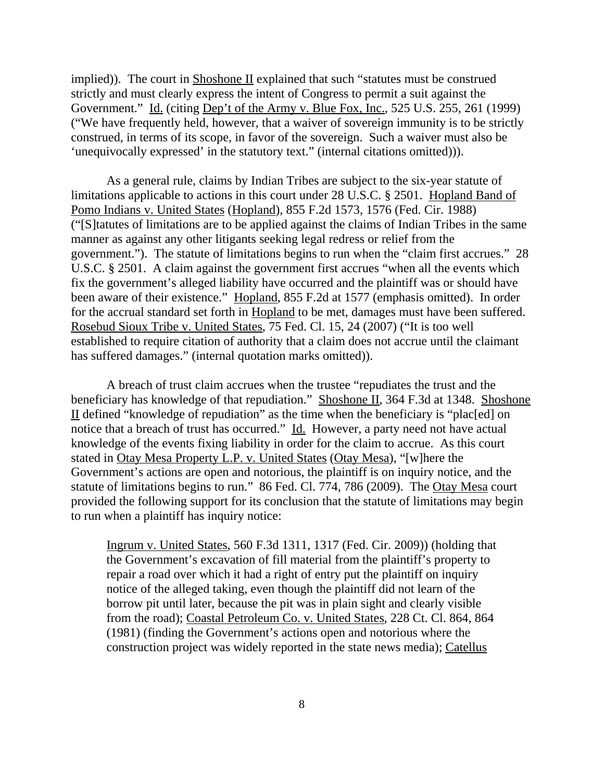implied)). The court in Shoshone II explained that such "statutes must be construed strictly and must clearly express the intent of Congress to permit a suit against the Government." Id. (citing Dep't of the Army v. Blue Fox, Inc., 525 U.S. 255, 261 (1999) ("We have frequently held, however, that a waiver of sovereign immunity is to be strictly construed, in terms of its scope, in favor of the sovereign. Such a waiver must also be 'unequivocally expressed' in the statutory text." (internal citations omitted))).

As a general rule, claims by Indian Tribes are subject to the six-year statute of limitations applicable to actions in this court under 28 U.S.C. § 2501. Hopland Band of Pomo Indians v. United States (Hopland), 855 F.2d 1573, 1576 (Fed. Cir. 1988) ("[S]tatutes of limitations are to be applied against the claims of Indian Tribes in the same manner as against any other litigants seeking legal redress or relief from the government."). The statute of limitations begins to run when the "claim first accrues." 28 U.S.C. § 2501. A claim against the government first accrues "when all the events which fix the government's alleged liability have occurred and the plaintiff was or should have been aware of their existence." Hopland, 855 F.2d at 1577 (emphasis omitted). In order for the accrual standard set forth in Hopland to be met, damages must have been suffered. Rosebud Sioux Tribe v. United States, 75 Fed. Cl. 15, 24 (2007) ("It is too well established to require citation of authority that a claim does not accrue until the claimant has suffered damages." (internal quotation marks omitted)).

A breach of trust claim accrues when the trustee "repudiates the trust and the beneficiary has knowledge of that repudiation." Shoshone II, 364 F.3d at 1348. Shoshone II defined "knowledge of repudiation" as the time when the beneficiary is "plac[ed] on notice that a breach of trust has occurred." Id. However, a party need not have actual knowledge of the events fixing liability in order for the claim to accrue. As this court stated in Otay Mesa Property L.P. v. United States (Otay Mesa), "[w]here the Government's actions are open and notorious, the plaintiff is on inquiry notice, and the statute of limitations begins to run." 86 Fed. Cl. 774, 786 (2009). The Otay Mesa court provided the following support for its conclusion that the statute of limitations may begin to run when a plaintiff has inquiry notice:

Ingrum v. United States, 560 F.3d 1311, 1317 (Fed. Cir. 2009)) (holding that the Government's excavation of fill material from the plaintiff's property to repair a road over which it had a right of entry put the plaintiff on inquiry notice of the alleged taking, even though the plaintiff did not learn of the borrow pit until later, because the pit was in plain sight and clearly visible from the road); Coastal Petroleum Co. v. United States, 228 Ct. Cl. 864, 864 (1981) (finding the Government's actions open and notorious where the construction project was widely reported in the state news media); Catellus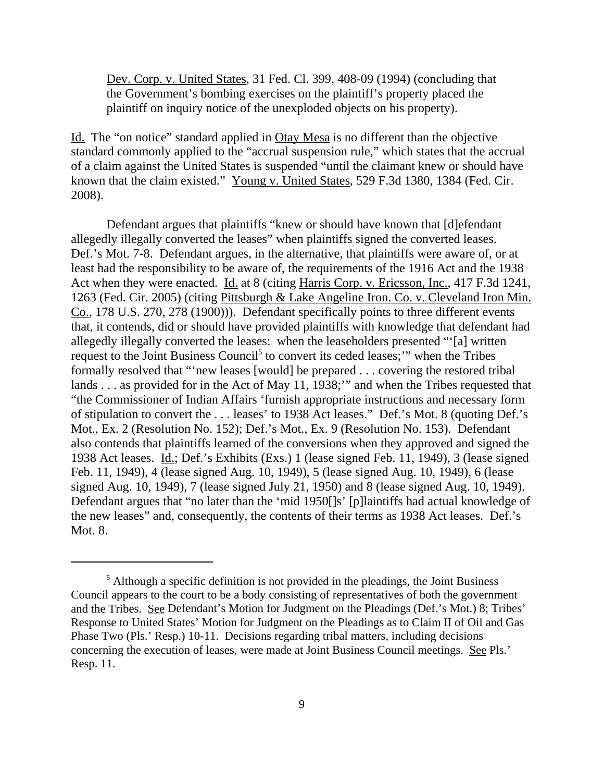Dev. Corp. v. United States, 31 Fed. Cl. 399, 408-09 (1994) (concluding that the Government's bombing exercises on the plaintiff's property placed the plaintiff on inquiry notice of the unexploded objects on his property).

Id. The "on notice" standard applied in Otay Mesa is no different than the objective standard commonly applied to the "accrual suspension rule," which states that the accrual of a claim against the United States is suspended "until the claimant knew or should have known that the claim existed." Young v. United States, 529 F.3d 1380, 1384 (Fed. Cir. 2008).

Defendant argues that plaintiffs "knew or should have known that [d]efendant allegedly illegally converted the leases" when plaintiffs signed the converted leases. Def.'s Mot. 7-8. Defendant argues, in the alternative, that plaintiffs were aware of, or at least had the responsibility to be aware of, the requirements of the 1916 Act and the 1938 Act when they were enacted. Id. at 8 (citing Harris Corp. v. Ericsson, Inc., 417 F.3d 1241, 1263 (Fed. Cir. 2005) (citing Pittsburgh & Lake Angeline Iron. Co. v. Cleveland Iron Min. Co., 178 U.S. 270, 278 (1900))). Defendant specifically points to three different events that, it contends, did or should have provided plaintiffs with knowledge that defendant had allegedly illegally converted the leases: when the leaseholders presented "'[a] written request to the Joint Business Council<sup>5</sup> to convert its ceded leases;" when the Tribes formally resolved that "'new leases [would] be prepared . . . covering the restored tribal lands . . . as provided for in the Act of May 11, 1938;" and when the Tribes requested that "the Commissioner of Indian Affairs 'furnish appropriate instructions and necessary form of stipulation to convert the . . . leases' to 1938 Act leases." Def.'s Mot. 8 (quoting Def.'s Mot., Ex. 2 (Resolution No. 152); Def.'s Mot., Ex. 9 (Resolution No. 153). Defendant also contends that plaintiffs learned of the conversions when they approved and signed the 1938 Act leases. Id.; Def.'s Exhibits (Exs.) 1 (lease signed Feb. 11, 1949), 3 (lease signed Feb. 11, 1949), 4 (lease signed Aug. 10, 1949), 5 (lease signed Aug. 10, 1949), 6 (lease signed Aug. 10, 1949), 7 (lease signed July 21, 1950) and 8 (lease signed Aug. 10, 1949). Defendant argues that "no later than the 'mid 1950[]s' [p]laintiffs had actual knowledge of the new leases" and, consequently, the contents of their terms as 1938 Act leases. Def.'s Mot. 8.

<sup>&</sup>lt;sup>5</sup> Although a specific definition is not provided in the pleadings, the Joint Business Council appears to the court to be a body consisting of representatives of both the government and the Tribes. See Defendant's Motion for Judgment on the Pleadings (Def.'s Mot.) 8; Tribes' Response to United States' Motion for Judgment on the Pleadings as to Claim II of Oil and Gas Phase Two (Pls.' Resp.) 10-11. Decisions regarding tribal matters, including decisions concerning the execution of leases, were made at Joint Business Council meetings. See Pls.' Resp. 11.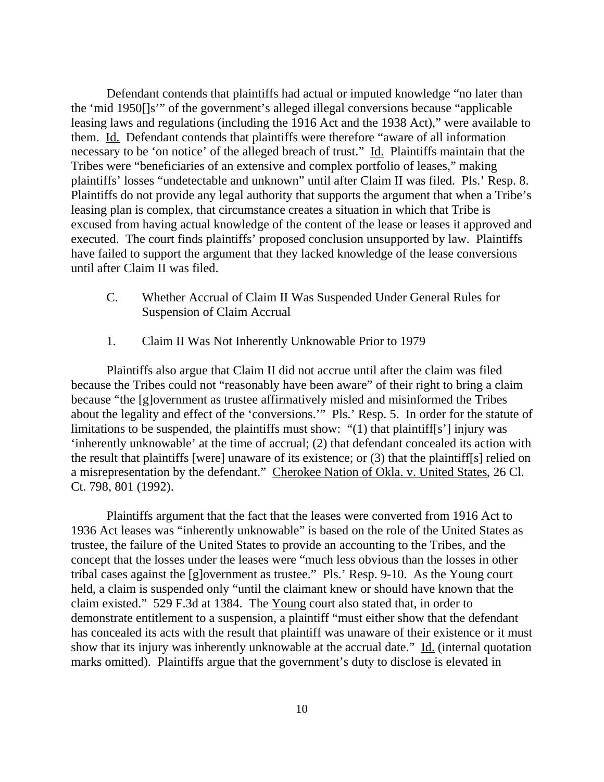Defendant contends that plaintiffs had actual or imputed knowledge "no later than the 'mid 1950[]s'" of the government's alleged illegal conversions because "applicable leasing laws and regulations (including the 1916 Act and the 1938 Act)," were available to them. Id. Defendant contends that plaintiffs were therefore "aware of all information necessary to be 'on notice' of the alleged breach of trust." Id. Plaintiffs maintain that the Tribes were "beneficiaries of an extensive and complex portfolio of leases," making plaintiffs' losses "undetectable and unknown" until after Claim II was filed. Pls.' Resp. 8. Plaintiffs do not provide any legal authority that supports the argument that when a Tribe's leasing plan is complex, that circumstance creates a situation in which that Tribe is excused from having actual knowledge of the content of the lease or leases it approved and executed. The court finds plaintiffs' proposed conclusion unsupported by law. Plaintiffs have failed to support the argument that they lacked knowledge of the lease conversions until after Claim II was filed.

- C. Whether Accrual of Claim II Was Suspended Under General Rules for Suspension of Claim Accrual
- 1. Claim II Was Not Inherently Unknowable Prior to 1979

Plaintiffs also argue that Claim II did not accrue until after the claim was filed because the Tribes could not "reasonably have been aware" of their right to bring a claim because "the [g]overnment as trustee affirmatively misled and misinformed the Tribes about the legality and effect of the 'conversions.'" Pls.' Resp. 5. In order for the statute of limitations to be suspended, the plaintiffs must show: "(1) that plaintiff[s'] injury was 'inherently unknowable' at the time of accrual; (2) that defendant concealed its action with the result that plaintiffs [were] unaware of its existence; or (3) that the plaintiff[s] relied on a misrepresentation by the defendant." Cherokee Nation of Okla. v. United States, 26 Cl. Ct. 798, 801 (1992).

Plaintiffs argument that the fact that the leases were converted from 1916 Act to 1936 Act leases was "inherently unknowable" is based on the role of the United States as trustee, the failure of the United States to provide an accounting to the Tribes, and the concept that the losses under the leases were "much less obvious than the losses in other tribal cases against the [g]overnment as trustee." Pls.' Resp. 9-10. As the Young court held, a claim is suspended only "until the claimant knew or should have known that the claim existed." 529 F.3d at 1384. The Young court also stated that, in order to demonstrate entitlement to a suspension, a plaintiff "must either show that the defendant has concealed its acts with the result that plaintiff was unaware of their existence or it must show that its injury was inherently unknowable at the accrual date." Id. (internal quotation marks omitted). Plaintiffs argue that the government's duty to disclose is elevated in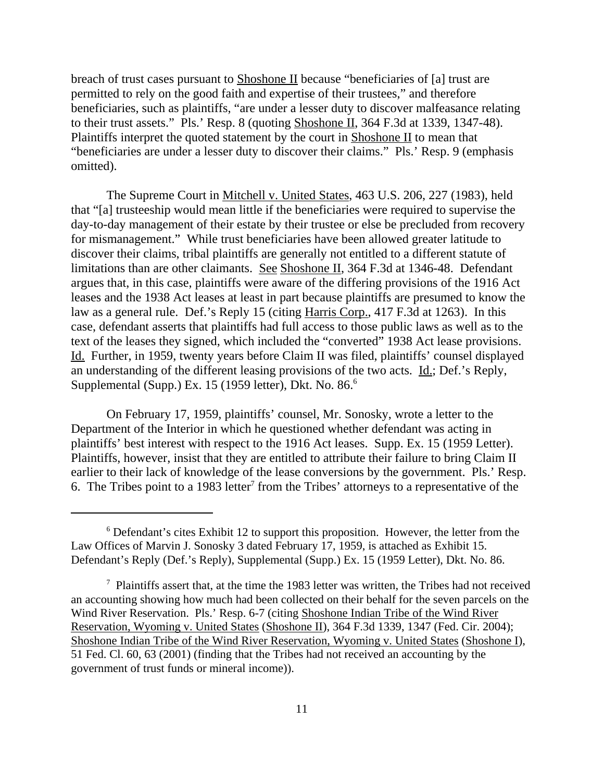breach of trust cases pursuant to Shoshone II because "beneficiaries of [a] trust are permitted to rely on the good faith and expertise of their trustees," and therefore beneficiaries, such as plaintiffs, "are under a lesser duty to discover malfeasance relating to their trust assets." Pls.' Resp. 8 (quoting Shoshone II, 364 F.3d at 1339, 1347-48). Plaintiffs interpret the quoted statement by the court in Shoshone II to mean that "beneficiaries are under a lesser duty to discover their claims." Pls.' Resp. 9 (emphasis omitted).

The Supreme Court in Mitchell v. United States, 463 U.S. 206, 227 (1983), held that "[a] trusteeship would mean little if the beneficiaries were required to supervise the day-to-day management of their estate by their trustee or else be precluded from recovery for mismanagement." While trust beneficiaries have been allowed greater latitude to discover their claims, tribal plaintiffs are generally not entitled to a different statute of limitations than are other claimants. See Shoshone II, 364 F.3d at 1346-48. Defendant argues that, in this case, plaintiffs were aware of the differing provisions of the 1916 Act leases and the 1938 Act leases at least in part because plaintiffs are presumed to know the law as a general rule. Def.'s Reply 15 (citing Harris Corp., 417 F.3d at 1263). In this case, defendant asserts that plaintiffs had full access to those public laws as well as to the text of the leases they signed, which included the "converted" 1938 Act lease provisions. Id. Further, in 1959, twenty years before Claim II was filed, plaintiffs' counsel displayed an understanding of the different leasing provisions of the two acts. Id.; Def.'s Reply, Supplemental (Supp.) Ex. 15 (1959 letter), Dkt. No. 86.<sup>6</sup>

On February 17, 1959, plaintiffs' counsel, Mr. Sonosky, wrote a letter to the Department of the Interior in which he questioned whether defendant was acting in plaintiffs' best interest with respect to the 1916 Act leases. Supp. Ex. 15 (1959 Letter). Plaintiffs, however, insist that they are entitled to attribute their failure to bring Claim II earlier to their lack of knowledge of the lease conversions by the government. Pls.' Resp. 6. The Tribes point to a 1983 letter<sup>7</sup> from the Tribes' attorneys to a representative of the

<sup>&</sup>lt;sup>6</sup> Defendant's cites Exhibit 12 to support this proposition. However, the letter from the Law Offices of Marvin J. Sonosky 3 dated February 17, 1959, is attached as Exhibit 15. Defendant's Reply (Def.'s Reply), Supplemental (Supp.) Ex. 15 (1959 Letter), Dkt. No. 86.

 $7$  Plaintiffs assert that, at the time the 1983 letter was written, the Tribes had not received an accounting showing how much had been collected on their behalf for the seven parcels on the Wind River Reservation. Pls.' Resp. 6-7 (citing Shoshone Indian Tribe of the Wind River Reservation, Wyoming v. United States (Shoshone II), 364 F.3d 1339, 1347 (Fed. Cir. 2004); Shoshone Indian Tribe of the Wind River Reservation, Wyoming v. United States (Shoshone I), 51 Fed. Cl. 60, 63 (2001) (finding that the Tribes had not received an accounting by the government of trust funds or mineral income)).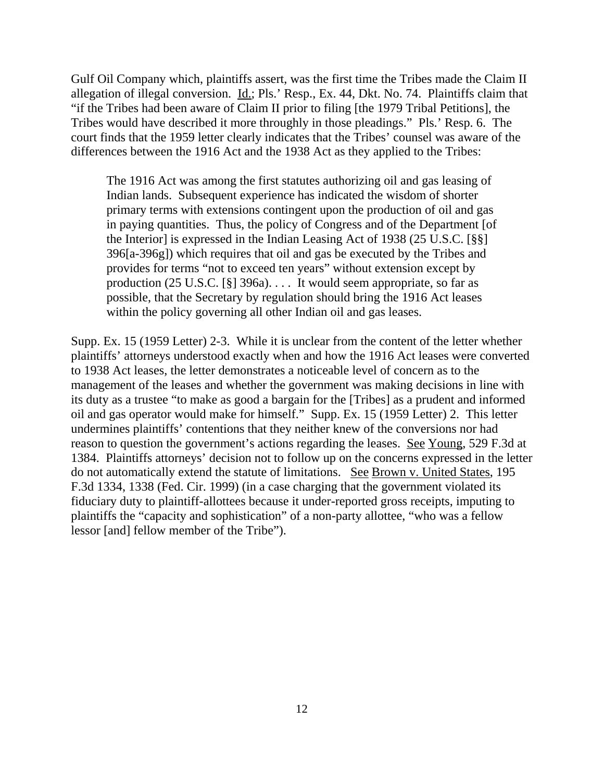Gulf Oil Company which, plaintiffs assert, was the first time the Tribes made the Claim II allegation of illegal conversion. Id.; Pls.' Resp., Ex. 44, Dkt. No. 74. Plaintiffs claim that "if the Tribes had been aware of Claim II prior to filing [the 1979 Tribal Petitions], the Tribes would have described it more throughly in those pleadings." Pls.' Resp. 6. The court finds that the 1959 letter clearly indicates that the Tribes' counsel was aware of the differences between the 1916 Act and the 1938 Act as they applied to the Tribes:

The 1916 Act was among the first statutes authorizing oil and gas leasing of Indian lands. Subsequent experience has indicated the wisdom of shorter primary terms with extensions contingent upon the production of oil and gas in paying quantities. Thus, the policy of Congress and of the Department [of the Interior] is expressed in the Indian Leasing Act of 1938 (25 U.S.C. [§§] 396[a-396g]) which requires that oil and gas be executed by the Tribes and provides for terms "not to exceed ten years" without extension except by production (25 U.S.C.  $\lceil \S \rceil$  396a).... It would seem appropriate, so far as possible, that the Secretary by regulation should bring the 1916 Act leases within the policy governing all other Indian oil and gas leases.

Supp. Ex. 15 (1959 Letter) 2-3. While it is unclear from the content of the letter whether plaintiffs' attorneys understood exactly when and how the 1916 Act leases were converted to 1938 Act leases, the letter demonstrates a noticeable level of concern as to the management of the leases and whether the government was making decisions in line with its duty as a trustee "to make as good a bargain for the [Tribes] as a prudent and informed oil and gas operator would make for himself." Supp. Ex. 15 (1959 Letter) 2. This letter undermines plaintiffs' contentions that they neither knew of the conversions nor had reason to question the government's actions regarding the leases. See Young, 529 F.3d at 1384. Plaintiffs attorneys' decision not to follow up on the concerns expressed in the letter do not automatically extend the statute of limitations. See Brown v. United States, 195 F.3d 1334, 1338 (Fed. Cir. 1999) (in a case charging that the government violated its fiduciary duty to plaintiff-allottees because it under-reported gross receipts, imputing to plaintiffs the "capacity and sophistication" of a non-party allottee, "who was a fellow lessor [and] fellow member of the Tribe").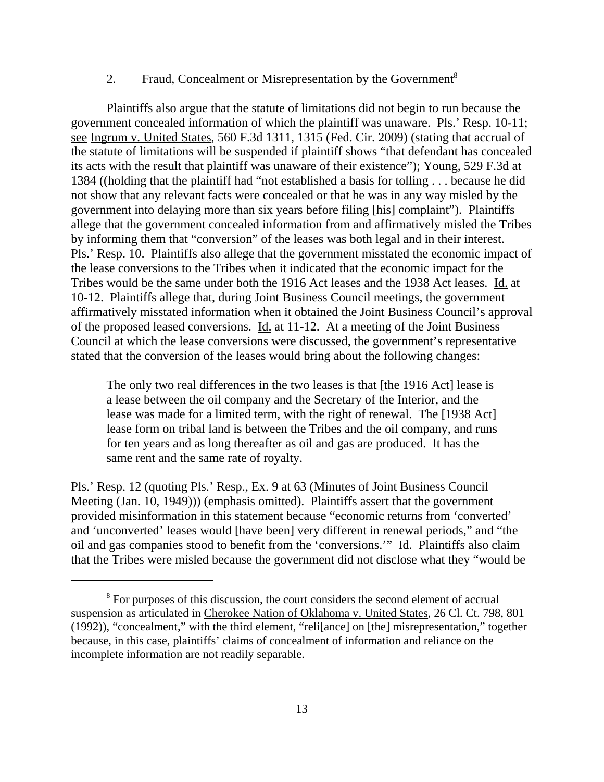## 2. Fraud, Concealment or Misrepresentation by the Government<sup>8</sup>

Plaintiffs also argue that the statute of limitations did not begin to run because the government concealed information of which the plaintiff was unaware. Pls.' Resp. 10-11; see Ingrum v. United States, 560 F.3d 1311, 1315 (Fed. Cir. 2009) (stating that accrual of the statute of limitations will be suspended if plaintiff shows "that defendant has concealed its acts with the result that plaintiff was unaware of their existence"); Young, 529 F.3d at 1384 ((holding that the plaintiff had "not established a basis for tolling . . . because he did not show that any relevant facts were concealed or that he was in any way misled by the government into delaying more than six years before filing [his] complaint"). Plaintiffs allege that the government concealed information from and affirmatively misled the Tribes by informing them that "conversion" of the leases was both legal and in their interest. Pls.' Resp. 10. Plaintiffs also allege that the government misstated the economic impact of the lease conversions to the Tribes when it indicated that the economic impact for the Tribes would be the same under both the 1916 Act leases and the 1938 Act leases. Id. at 10-12. Plaintiffs allege that, during Joint Business Council meetings, the government affirmatively misstated information when it obtained the Joint Business Council's approval of the proposed leased conversions. Id. at 11-12. At a meeting of the Joint Business Council at which the lease conversions were discussed, the government's representative stated that the conversion of the leases would bring about the following changes:

The only two real differences in the two leases is that [the 1916 Act] lease is a lease between the oil company and the Secretary of the Interior, and the lease was made for a limited term, with the right of renewal. The [1938 Act] lease form on tribal land is between the Tribes and the oil company, and runs for ten years and as long thereafter as oil and gas are produced. It has the same rent and the same rate of royalty.

Pls.' Resp. 12 (quoting Pls.' Resp., Ex. 9 at 63 (Minutes of Joint Business Council Meeting (Jan. 10, 1949))) (emphasis omitted). Plaintiffs assert that the government provided misinformation in this statement because "economic returns from 'converted' and 'unconverted' leases would [have been] very different in renewal periods," and "the oil and gas companies stood to benefit from the 'conversions.'" Id. Plaintiffs also claim that the Tribes were misled because the government did not disclose what they "would be

<sup>&</sup>lt;sup>8</sup> For purposes of this discussion, the court considers the second element of accrual suspension as articulated in Cherokee Nation of Oklahoma v. United States, 26 Cl. Ct. 798, 801 (1992)), "concealment," with the third element, "reli[ance] on [the] misrepresentation," together because, in this case, plaintiffs' claims of concealment of information and reliance on the incomplete information are not readily separable.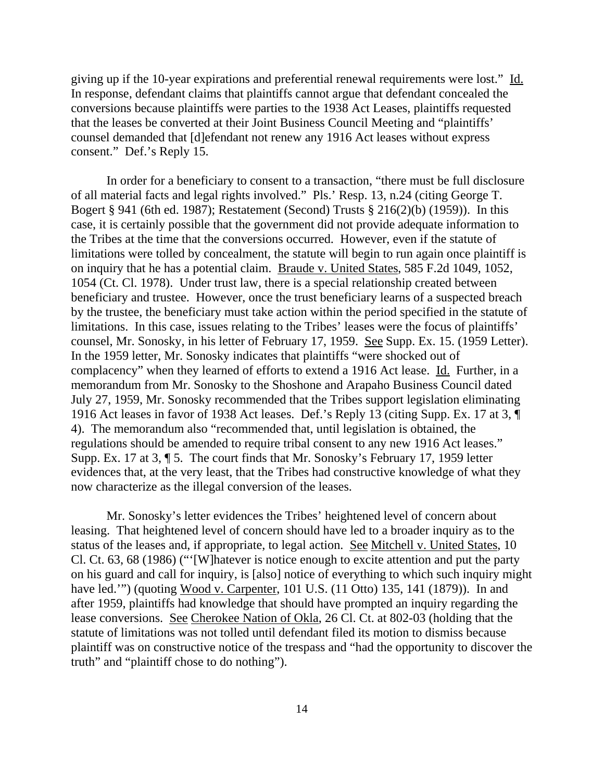giving up if the 10-year expirations and preferential renewal requirements were lost." Id. In response, defendant claims that plaintiffs cannot argue that defendant concealed the conversions because plaintiffs were parties to the 1938 Act Leases, plaintiffs requested that the leases be converted at their Joint Business Council Meeting and "plaintiffs' counsel demanded that [d]efendant not renew any 1916 Act leases without express consent." Def.'s Reply 15.

In order for a beneficiary to consent to a transaction, "there must be full disclosure of all material facts and legal rights involved." Pls.' Resp. 13, n.24 (citing George T. Bogert § 941 (6th ed. 1987); Restatement (Second) Trusts § 216(2)(b) (1959)). In this case, it is certainly possible that the government did not provide adequate information to the Tribes at the time that the conversions occurred. However, even if the statute of limitations were tolled by concealment, the statute will begin to run again once plaintiff is on inquiry that he has a potential claim. Braude v. United States, 585 F.2d 1049, 1052, 1054 (Ct. Cl. 1978). Under trust law, there is a special relationship created between beneficiary and trustee. However, once the trust beneficiary learns of a suspected breach by the trustee, the beneficiary must take action within the period specified in the statute of limitations. In this case, issues relating to the Tribes' leases were the focus of plaintiffs' counsel, Mr. Sonosky, in his letter of February 17, 1959. See Supp. Ex. 15. (1959 Letter). In the 1959 letter, Mr. Sonosky indicates that plaintiffs "were shocked out of complacency" when they learned of efforts to extend a 1916 Act lease. Id. Further, in a memorandum from Mr. Sonosky to the Shoshone and Arapaho Business Council dated July 27, 1959, Mr. Sonosky recommended that the Tribes support legislation eliminating 1916 Act leases in favor of 1938 Act leases. Def.'s Reply 13 (citing Supp. Ex. 17 at 3, ¶ 4). The memorandum also "recommended that, until legislation is obtained, the regulations should be amended to require tribal consent to any new 1916 Act leases." Supp. Ex. 17 at 3, ¶ 5. The court finds that Mr. Sonosky's February 17, 1959 letter evidences that, at the very least, that the Tribes had constructive knowledge of what they now characterize as the illegal conversion of the leases.

Mr. Sonosky's letter evidences the Tribes' heightened level of concern about leasing. That heightened level of concern should have led to a broader inquiry as to the status of the leases and, if appropriate, to legal action. See Mitchell v. United States, 10 Cl. Ct. 63, 68 (1986) ("'[W]hatever is notice enough to excite attention and put the party on his guard and call for inquiry, is [also] notice of everything to which such inquiry might have led."") (quoting Wood v. Carpenter, 101 U.S. (11 Otto) 135, 141 (1879)). In and after 1959, plaintiffs had knowledge that should have prompted an inquiry regarding the lease conversions. See Cherokee Nation of Okla, 26 Cl. Ct. at 802-03 (holding that the statute of limitations was not tolled until defendant filed its motion to dismiss because plaintiff was on constructive notice of the trespass and "had the opportunity to discover the truth" and "plaintiff chose to do nothing").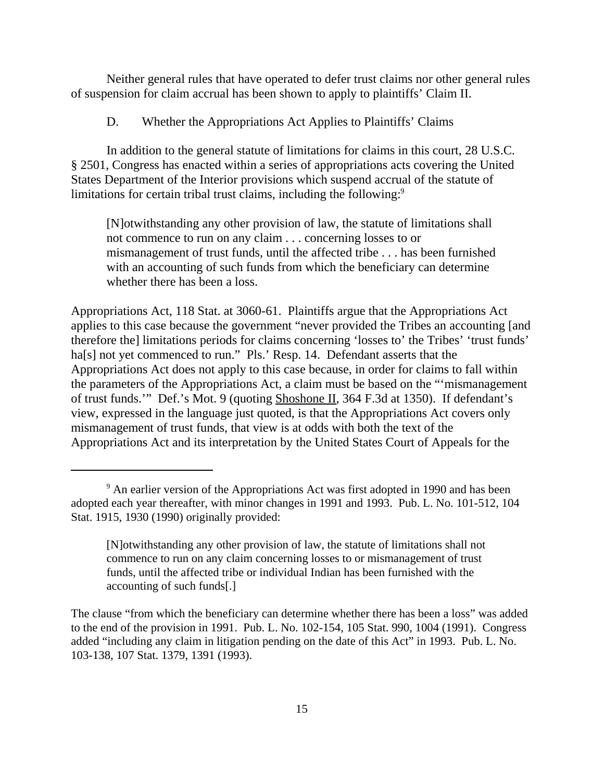Neither general rules that have operated to defer trust claims nor other general rules of suspension for claim accrual has been shown to apply to plaintiffs' Claim II.

D. Whether the Appropriations Act Applies to Plaintiffs' Claims

In addition to the general statute of limitations for claims in this court, 28 U.S.C. § 2501, Congress has enacted within a series of appropriations acts covering the United States Department of the Interior provisions which suspend accrual of the statute of limitations for certain tribal trust claims, including the following:<sup>9</sup>

[N]otwithstanding any other provision of law, the statute of limitations shall not commence to run on any claim . . . concerning losses to or mismanagement of trust funds, until the affected tribe . . . has been furnished with an accounting of such funds from which the beneficiary can determine whether there has been a loss.

Appropriations Act, 118 Stat. at 3060-61. Plaintiffs argue that the Appropriations Act applies to this case because the government "never provided the Tribes an accounting [and therefore the] limitations periods for claims concerning 'losses to' the Tribes' 'trust funds' ha[s] not yet commenced to run." Pls.' Resp. 14. Defendant asserts that the Appropriations Act does not apply to this case because, in order for claims to fall within the parameters of the Appropriations Act, a claim must be based on the "'mismanagement of trust funds.'" Def.'s Mot. 9 (quoting Shoshone II, 364 F.3d at 1350). If defendant's view, expressed in the language just quoted, is that the Appropriations Act covers only mismanagement of trust funds, that view is at odds with both the text of the Appropriations Act and its interpretation by the United States Court of Appeals for the

<sup>&</sup>lt;sup>9</sup> An earlier version of the Appropriations Act was first adopted in 1990 and has been adopted each year thereafter, with minor changes in 1991 and 1993. Pub. L. No. 101-512, 104 Stat. 1915, 1930 (1990) originally provided:

<sup>[</sup>N]otwithstanding any other provision of law, the statute of limitations shall not commence to run on any claim concerning losses to or mismanagement of trust funds, until the affected tribe or individual Indian has been furnished with the accounting of such funds[.]

The clause "from which the beneficiary can determine whether there has been a loss" was added to the end of the provision in 1991. Pub. L. No. 102-154, 105 Stat. 990, 1004 (1991). Congress added "including any claim in litigation pending on the date of this Act" in 1993. Pub. L. No. 103-138, 107 Stat. 1379, 1391 (1993).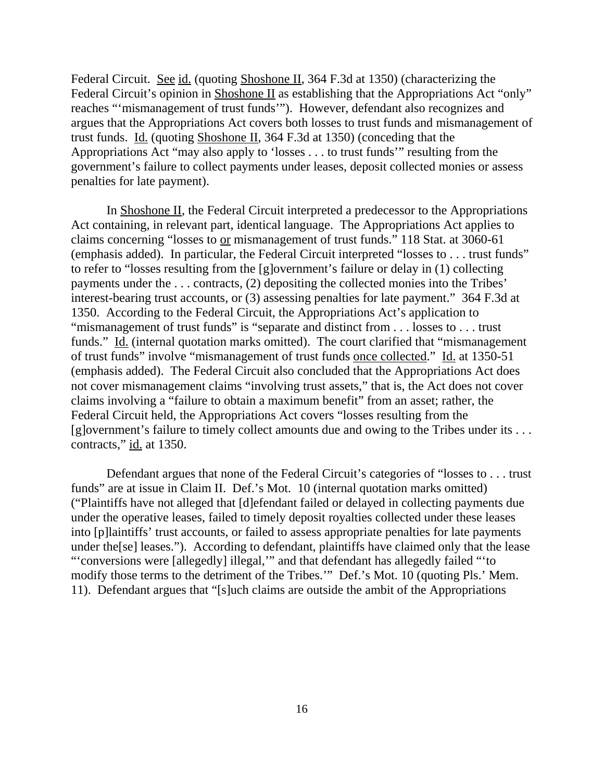Federal Circuit. See id. (quoting Shoshone II, 364 F.3d at 1350) (characterizing the Federal Circuit's opinion in Shoshone II as establishing that the Appropriations Act "only" reaches "'mismanagement of trust funds'"). However, defendant also recognizes and argues that the Appropriations Act covers both losses to trust funds and mismanagement of trust funds.Id. (quoting Shoshone II, 364 F.3d at 1350) (conceding that the Appropriations Act "may also apply to 'losses . . . to trust funds'" resulting from the government's failure to collect payments under leases, deposit collected monies or assess penalties for late payment).

In Shoshone II, the Federal Circuit interpreted a predecessor to the Appropriations Act containing, in relevant part, identical language. The Appropriations Act applies to claims concerning "losses to or mismanagement of trust funds." 118 Stat. at 3060-61 (emphasis added). In particular, the Federal Circuit interpreted "losses to . . . trust funds" to refer to "losses resulting from the [g]overnment's failure or delay in (1) collecting payments under the . . . contracts, (2) depositing the collected monies into the Tribes' interest-bearing trust accounts, or (3) assessing penalties for late payment." 364 F.3d at 1350. According to the Federal Circuit, the Appropriations Act's application to "mismanagement of trust funds" is "separate and distinct from . . . losses to . . . trust funds." Id. (internal quotation marks omitted). The court clarified that "mismanagement" of trust funds" involve "mismanagement of trust funds once collected." Id. at 1350-51 (emphasis added). The Federal Circuit also concluded that the Appropriations Act does not cover mismanagement claims "involving trust assets," that is, the Act does not cover claims involving a "failure to obtain a maximum benefit" from an asset; rather, the Federal Circuit held, the Appropriations Act covers "losses resulting from the [g]overnment's failure to timely collect amounts due and owing to the Tribes under its . . . contracts," id. at 1350.

Defendant argues that none of the Federal Circuit's categories of "losses to . . . trust funds" are at issue in Claim II. Def.'s Mot. 10 (internal quotation marks omitted) ("Plaintiffs have not alleged that [d]efendant failed or delayed in collecting payments due under the operative leases, failed to timely deposit royalties collected under these leases into [p]laintiffs' trust accounts, or failed to assess appropriate penalties for late payments under the[se] leases."). According to defendant, plaintiffs have claimed only that the lease "'conversions were [allegedly] illegal,'" and that defendant has allegedly failed "'to modify those terms to the detriment of the Tribes.'" Def.'s Mot. 10 (quoting Pls.' Mem. 11). Defendant argues that "[s]uch claims are outside the ambit of the Appropriations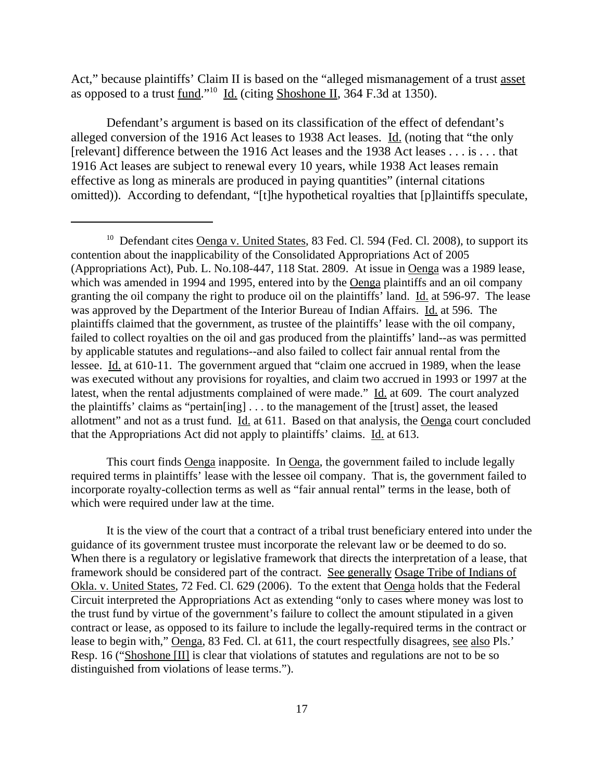Act," because plaintiffs' Claim II is based on the "alleged mismanagement of a trust asset as opposed to a trust fund."10 Id. (citing Shoshone II, 364 F.3d at 1350).

Defendant's argument is based on its classification of the effect of defendant's alleged conversion of the 1916 Act leases to 1938 Act leases. Id. (noting that "the only [relevant] difference between the 1916 Act leases and the 1938 Act leases . . . is . . . that 1916 Act leases are subject to renewal every 10 years, while 1938 Act leases remain effective as long as minerals are produced in paying quantities" (internal citations omitted)). According to defendant, "[t]he hypothetical royalties that [p]laintiffs speculate,

This court finds Oenga inapposite. In Oenga, the government failed to include legally required terms in plaintiffs' lease with the lessee oil company. That is, the government failed to incorporate royalty-collection terms as well as "fair annual rental" terms in the lease, both of which were required under law at the time.

It is the view of the court that a contract of a tribal trust beneficiary entered into under the guidance of its government trustee must incorporate the relevant law or be deemed to do so. When there is a regulatory or legislative framework that directs the interpretation of a lease, that framework should be considered part of the contract. See generally Osage Tribe of Indians of Okla. v. United States, 72 Fed. Cl. 629 (2006). To the extent that Oenga holds that the Federal Circuit interpreted the Appropriations Act as extending "only to cases where money was lost to the trust fund by virtue of the government's failure to collect the amount stipulated in a given contract or lease, as opposed to its failure to include the legally-required terms in the contract or lease to begin with," Oenga, 83 Fed. Cl. at 611, the court respectfully disagrees, see also Pls.' Resp. 16 ("Shoshone [II] is clear that violations of statutes and regulations are not to be so distinguished from violations of lease terms.").

<sup>&</sup>lt;sup>10</sup> Defendant cites Oenga v. United States, 83 Fed. Cl. 594 (Fed. Cl. 2008), to support its contention about the inapplicability of the Consolidated Appropriations Act of 2005 (Appropriations Act), Pub. L. No.108-447, 118 Stat. 2809. At issue in Oenga was a 1989 lease, which was amended in 1994 and 1995, entered into by the Oenga plaintiffs and an oil company granting the oil company the right to produce oil on the plaintiffs' land. Id. at 596-97. The lease was approved by the Department of the Interior Bureau of Indian Affairs. Id. at 596. The plaintiffs claimed that the government, as trustee of the plaintiffs' lease with the oil company, failed to collect royalties on the oil and gas produced from the plaintiffs' land--as was permitted by applicable statutes and regulations--and also failed to collect fair annual rental from the lessee. Id. at 610-11. The government argued that "claim one accrued in 1989, when the lease was executed without any provisions for royalties, and claim two accrued in 1993 or 1997 at the latest, when the rental adjustments complained of were made." Id. at 609. The court analyzed the plaintiffs' claims as "pertain[ing] . . . to the management of the [trust] asset, the leased allotment" and not as a trust fund. Id. at 611. Based on that analysis, the Oenga court concluded that the Appropriations Act did not apply to plaintiffs' claims. Id. at 613.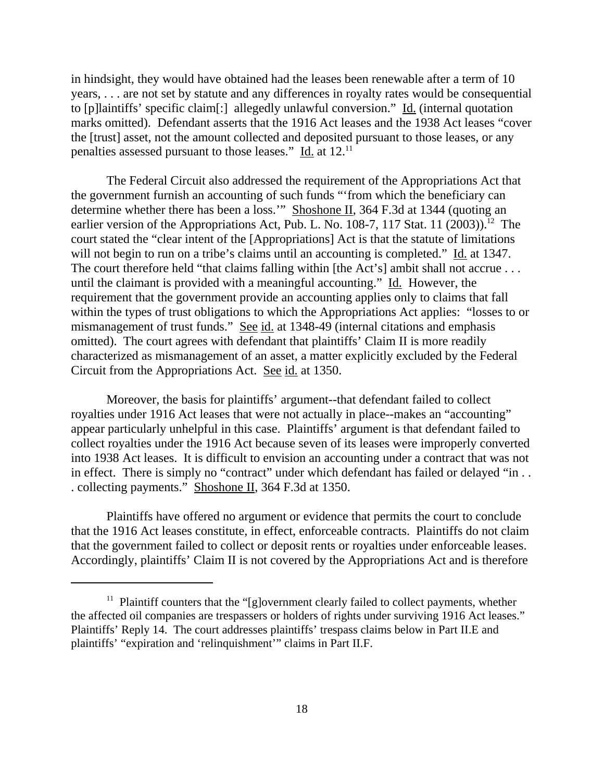in hindsight, they would have obtained had the leases been renewable after a term of 10 years, . . . are not set by statute and any differences in royalty rates would be consequential to [p]laintiffs' specific claim[:] allegedly unlawful conversion." Id. (internal quotation marks omitted). Defendant asserts that the 1916 Act leases and the 1938 Act leases "cover the [trust] asset, not the amount collected and deposited pursuant to those leases, or any penalties assessed pursuant to those leases." Id. at 12.11

The Federal Circuit also addressed the requirement of the Appropriations Act that the government furnish an accounting of such funds "'from which the beneficiary can determine whether there has been a loss.'" Shoshone II, 364 F.3d at 1344 (quoting an earlier version of the Appropriations Act, Pub. L. No. 108-7, 117 Stat. 11  $(2003)$ .<sup>12</sup> The court stated the "clear intent of the [Appropriations] Act is that the statute of limitations will not begin to run on a tribe's claims until an accounting is completed." Id. at 1347. The court therefore held "that claims falling within [the Act's] ambit shall not accrue . . . until the claimant is provided with a meaningful accounting." Id. However, the requirement that the government provide an accounting applies only to claims that fall within the types of trust obligations to which the Appropriations Act applies: "losses to or mismanagement of trust funds." See id. at 1348-49 (internal citations and emphasis omitted). The court agrees with defendant that plaintiffs' Claim II is more readily characterized as mismanagement of an asset, a matter explicitly excluded by the Federal Circuit from the Appropriations Act. See id. at 1350.

Moreover, the basis for plaintiffs' argument--that defendant failed to collect royalties under 1916 Act leases that were not actually in place--makes an "accounting" appear particularly unhelpful in this case. Plaintiffs' argument is that defendant failed to collect royalties under the 1916 Act because seven of its leases were improperly converted into 1938 Act leases. It is difficult to envision an accounting under a contract that was not in effect. There is simply no "contract" under which defendant has failed or delayed "in . . . collecting payments." Shoshone II, 364 F.3d at 1350.

 Plaintiffs have offered no argument or evidence that permits the court to conclude that the 1916 Act leases constitute, in effect, enforceable contracts. Plaintiffs do not claim that the government failed to collect or deposit rents or royalties under enforceable leases. Accordingly, plaintiffs' Claim II is not covered by the Appropriations Act and is therefore

<sup>&</sup>lt;sup>11</sup> Plaintiff counters that the "[g]overnment clearly failed to collect payments, whether the affected oil companies are trespassers or holders of rights under surviving 1916 Act leases." Plaintiffs' Reply 14. The court addresses plaintiffs' trespass claims below in Part II.E and plaintiffs' "expiration and 'relinquishment'" claims in Part II.F.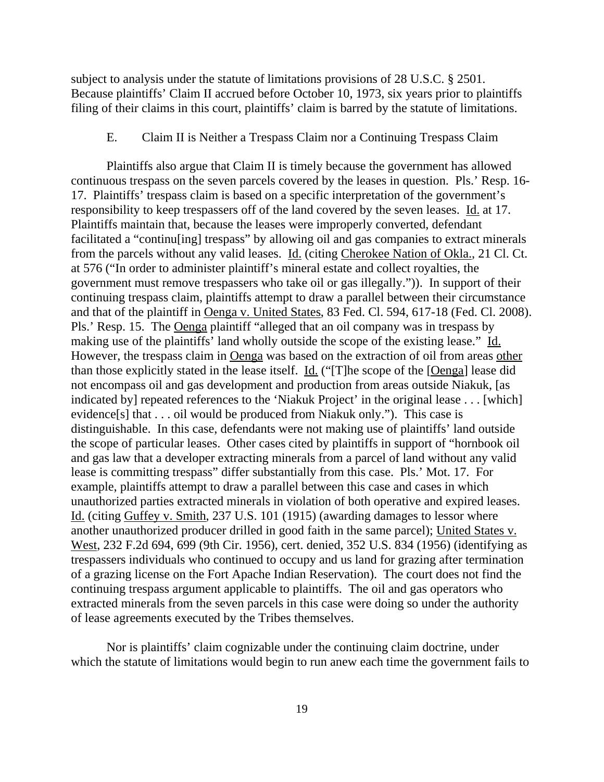subject to analysis under the statute of limitations provisions of 28 U.S.C. § 2501. Because plaintiffs' Claim II accrued before October 10, 1973, six years prior to plaintiffs filing of their claims in this court, plaintiffs' claim is barred by the statute of limitations.

# E. Claim II is Neither a Trespass Claim nor a Continuing Trespass Claim

Plaintiffs also argue that Claim II is timely because the government has allowed continuous trespass on the seven parcels covered by the leases in question. Pls.' Resp. 16- 17. Plaintiffs' trespass claim is based on a specific interpretation of the government's responsibility to keep trespassers off of the land covered by the seven leases. Id. at 17. Plaintiffs maintain that, because the leases were improperly converted, defendant facilitated a "continu[ing] trespass" by allowing oil and gas companies to extract minerals from the parcels without any valid leases. Id. (citing Cherokee Nation of Okla., 21 Cl. Ct. at 576 ("In order to administer plaintiff's mineral estate and collect royalties, the government must remove trespassers who take oil or gas illegally.")). In support of their continuing trespass claim, plaintiffs attempt to draw a parallel between their circumstance and that of the plaintiff in Oenga v. United States, 83 Fed. Cl. 594, 617-18 (Fed. Cl. 2008). Pls.' Resp. 15. The Oenga plaintiff "alleged that an oil company was in trespass by making use of the plaintiffs' land wholly outside the scope of the existing lease." Id. However, the trespass claim in Oenga was based on the extraction of oil from areas other than those explicitly stated in the lease itself. Id. ("[T]he scope of the [Oenga] lease did not encompass oil and gas development and production from areas outside Niakuk, [as indicated by] repeated references to the 'Niakuk Project' in the original lease . . . [which] evidence[s] that . . . oil would be produced from Niakuk only."). This case is distinguishable. In this case, defendants were not making use of plaintiffs' land outside the scope of particular leases. Other cases cited by plaintiffs in support of "hornbook oil and gas law that a developer extracting minerals from a parcel of land without any valid lease is committing trespass" differ substantially from this case. Pls.' Mot. 17. For example, plaintiffs attempt to draw a parallel between this case and cases in which unauthorized parties extracted minerals in violation of both operative and expired leases. Id. (citing Guffey v. Smith, 237 U.S. 101 (1915) (awarding damages to lessor where another unauthorized producer drilled in good faith in the same parcel); United States v. West, 232 F.2d 694, 699 (9th Cir. 1956), cert. denied, 352 U.S. 834 (1956) (identifying as trespassers individuals who continued to occupy and us land for grazing after termination of a grazing license on the Fort Apache Indian Reservation). The court does not find the continuing trespass argument applicable to plaintiffs. The oil and gas operators who extracted minerals from the seven parcels in this case were doing so under the authority of lease agreements executed by the Tribes themselves.

Nor is plaintiffs' claim cognizable under the continuing claim doctrine, under which the statute of limitations would begin to run anew each time the government fails to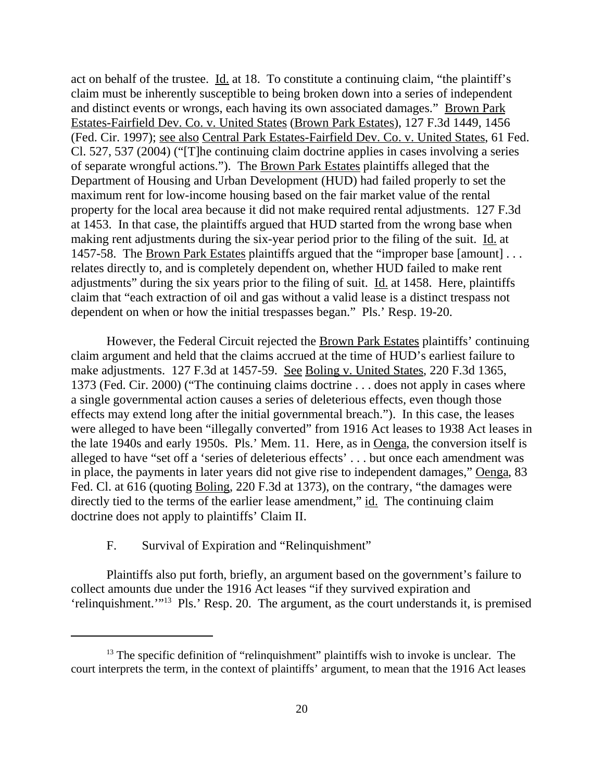act on behalf of the trustee.  $\underline{Id}$  at 18. To constitute a continuing claim, "the plaintiff's claim must be inherently susceptible to being broken down into a series of independent and distinct events or wrongs, each having its own associated damages." Brown Park Estates-Fairfield Dev. Co. v. United States (Brown Park Estates), 127 F.3d 1449, 1456 (Fed. Cir. 1997); see also Central Park Estates-Fairfield Dev. Co. v. United States, 61 Fed. Cl. 527, 537 (2004) ("[T]he continuing claim doctrine applies in cases involving a series of separate wrongful actions."). The Brown Park Estates plaintiffs alleged that the Department of Housing and Urban Development (HUD) had failed properly to set the maximum rent for low-income housing based on the fair market value of the rental property for the local area because it did not make required rental adjustments. 127 F.3d at 1453. In that case, the plaintiffs argued that HUD started from the wrong base when making rent adjustments during the six-year period prior to the filing of the suit. Id. at 1457-58. The Brown Park Estates plaintiffs argued that the "improper base [amount]... relates directly to, and is completely dependent on, whether HUD failed to make rent adjustments" during the six years prior to the filing of suit. Id. at 1458. Here, plaintiffs claim that "each extraction of oil and gas without a valid lease is a distinct trespass not dependent on when or how the initial trespasses began." Pls.' Resp. 19-20.

However, the Federal Circuit rejected the Brown Park Estates plaintiffs' continuing claim argument and held that the claims accrued at the time of HUD's earliest failure to make adjustments. 127 F.3d at 1457-59. See Boling v. United States, 220 F.3d 1365, 1373 (Fed. Cir. 2000) ("The continuing claims doctrine . . . does not apply in cases where a single governmental action causes a series of deleterious effects, even though those effects may extend long after the initial governmental breach."). In this case, the leases were alleged to have been "illegally converted" from 1916 Act leases to 1938 Act leases in the late 1940s and early 1950s. Pls.' Mem. 11. Here, as in Oenga, the conversion itself is alleged to have "set off a 'series of deleterious effects' . . . but once each amendment was in place, the payments in later years did not give rise to independent damages," Oenga, 83 Fed. Cl. at 616 (quoting Boling, 220 F.3d at 1373), on the contrary, "the damages were directly tied to the terms of the earlier lease amendment," id. The continuing claim doctrine does not apply to plaintiffs' Claim II.

# F. Survival of Expiration and "Relinquishment"

Plaintiffs also put forth, briefly, an argument based on the government's failure to collect amounts due under the 1916 Act leases "if they survived expiration and 'relinquishment.'"13 Pls.' Resp. 20. The argument, as the court understands it, is premised

<sup>&</sup>lt;sup>13</sup> The specific definition of "relinquishment" plaintiffs wish to invoke is unclear. The court interprets the term, in the context of plaintiffs' argument, to mean that the 1916 Act leases